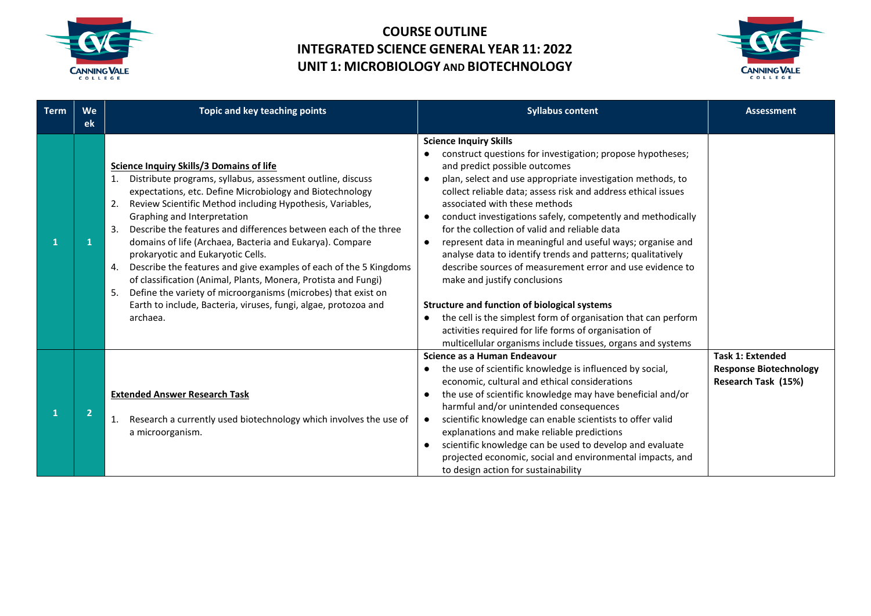



| <b>Term</b> | We<br><b>ek</b> | Topic and key teaching points                                                                                                                                                                                                                                                                                                                                                                                                                                                                                                                                                                                                                                                                                                                            | <b>Syllabus content</b>                                                                                                                                                                                                                                                                                                                                                                                                                                                                                                                                                                                                                                                                                                                                                                                                                                                                                                        | <b>Assessment</b>                                                               |
|-------------|-----------------|----------------------------------------------------------------------------------------------------------------------------------------------------------------------------------------------------------------------------------------------------------------------------------------------------------------------------------------------------------------------------------------------------------------------------------------------------------------------------------------------------------------------------------------------------------------------------------------------------------------------------------------------------------------------------------------------------------------------------------------------------------|--------------------------------------------------------------------------------------------------------------------------------------------------------------------------------------------------------------------------------------------------------------------------------------------------------------------------------------------------------------------------------------------------------------------------------------------------------------------------------------------------------------------------------------------------------------------------------------------------------------------------------------------------------------------------------------------------------------------------------------------------------------------------------------------------------------------------------------------------------------------------------------------------------------------------------|---------------------------------------------------------------------------------|
| 1           |                 | <b>Science Inquiry Skills/3 Domains of life</b><br>Distribute programs, syllabus, assessment outline, discuss<br>expectations, etc. Define Microbiology and Biotechnology<br>Review Scientific Method including Hypothesis, Variables,<br>2.<br>Graphing and Interpretation<br>Describe the features and differences between each of the three<br>3.<br>domains of life (Archaea, Bacteria and Eukarya). Compare<br>prokaryotic and Eukaryotic Cells.<br>Describe the features and give examples of each of the 5 Kingdoms<br>4.<br>of classification (Animal, Plants, Monera, Protista and Fungi)<br>Define the variety of microorganisms (microbes) that exist on<br>5.<br>Earth to include, Bacteria, viruses, fungi, algae, protozoa and<br>archaea. | <b>Science Inquiry Skills</b><br>construct questions for investigation; propose hypotheses;<br>and predict possible outcomes<br>plan, select and use appropriate investigation methods, to<br>$\bullet$<br>collect reliable data; assess risk and address ethical issues<br>associated with these methods<br>conduct investigations safely, competently and methodically<br>$\bullet$<br>for the collection of valid and reliable data<br>represent data in meaningful and useful ways; organise and<br>$\bullet$<br>analyse data to identify trends and patterns; qualitatively<br>describe sources of measurement error and use evidence to<br>make and justify conclusions<br><b>Structure and function of biological systems</b><br>the cell is the simplest form of organisation that can perform<br>activities required for life forms of organisation of<br>multicellular organisms include tissues, organs and systems |                                                                                 |
| 1           | $\overline{2}$  | <b>Extended Answer Research Task</b><br>Research a currently used biotechnology which involves the use of<br>1.<br>a microorganism.                                                                                                                                                                                                                                                                                                                                                                                                                                                                                                                                                                                                                      | Science as a Human Endeavour<br>the use of scientific knowledge is influenced by social,<br>economic, cultural and ethical considerations<br>the use of scientific knowledge may have beneficial and/or<br>$\bullet$<br>harmful and/or unintended consequences<br>scientific knowledge can enable scientists to offer valid<br>$\bullet$<br>explanations and make reliable predictions<br>scientific knowledge can be used to develop and evaluate<br>$\bullet$<br>projected economic, social and environmental impacts, and<br>to design action for sustainability                                                                                                                                                                                                                                                                                                                                                            | <b>Task 1: Extended</b><br><b>Response Biotechnology</b><br>Research Task (15%) |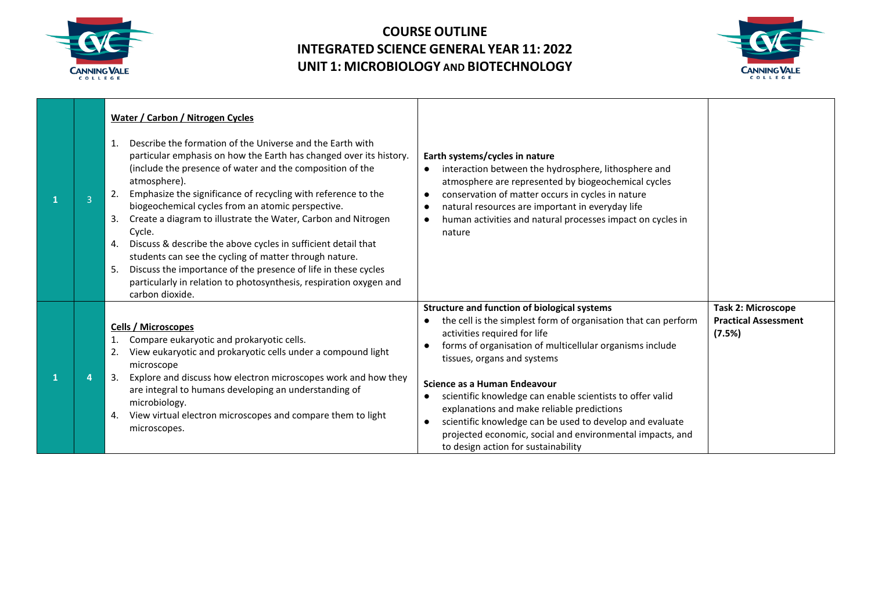



| 3 | <b>Water / Carbon / Nitrogen Cycles</b><br>Describe the formation of the Universe and the Earth with<br>1.<br>particular emphasis on how the Earth has changed over its history.<br>(include the presence of water and the composition of the<br>atmosphere).<br>Emphasize the significance of recycling with reference to the<br>2.<br>biogeochemical cycles from an atomic perspective.<br>Create a diagram to illustrate the Water, Carbon and Nitrogen<br>3.<br>Cycle.<br>Discuss & describe the above cycles in sufficient detail that<br>4.<br>students can see the cycling of matter through nature.<br>Discuss the importance of the presence of life in these cycles<br>5.<br>particularly in relation to photosynthesis, respiration oxygen and<br>carbon dioxide. | Earth systems/cycles in nature<br>interaction between the hydrosphere, lithosphere and<br>$\bullet$<br>atmosphere are represented by biogeochemical cycles<br>conservation of matter occurs in cycles in nature<br>natural resources are important in everyday life<br>human activities and natural processes impact on cycles in<br>$\bullet$<br>nature                                                                                                                                                                                                                 |                                                                    |
|---|------------------------------------------------------------------------------------------------------------------------------------------------------------------------------------------------------------------------------------------------------------------------------------------------------------------------------------------------------------------------------------------------------------------------------------------------------------------------------------------------------------------------------------------------------------------------------------------------------------------------------------------------------------------------------------------------------------------------------------------------------------------------------|--------------------------------------------------------------------------------------------------------------------------------------------------------------------------------------------------------------------------------------------------------------------------------------------------------------------------------------------------------------------------------------------------------------------------------------------------------------------------------------------------------------------------------------------------------------------------|--------------------------------------------------------------------|
|   | Cells / Microscopes<br>Compare eukaryotic and prokaryotic cells.<br>View eukaryotic and prokaryotic cells under a compound light<br>2.<br>microscope<br>Explore and discuss how electron microscopes work and how they<br>-3.<br>are integral to humans developing an understanding of<br>microbiology.<br>View virtual electron microscopes and compare them to light<br>4.<br>microscopes.                                                                                                                                                                                                                                                                                                                                                                                 | <b>Structure and function of biological systems</b><br>the cell is the simplest form of organisation that can perform<br>activities required for life<br>forms of organisation of multicellular organisms include<br>tissues, organs and systems<br>Science as a Human Endeavour<br>scientific knowledge can enable scientists to offer valid<br>$\bullet$<br>explanations and make reliable predictions<br>scientific knowledge can be used to develop and evaluate<br>projected economic, social and environmental impacts, and<br>to design action for sustainability | <b>Task 2: Microscope</b><br><b>Practical Assessment</b><br>(7.5%) |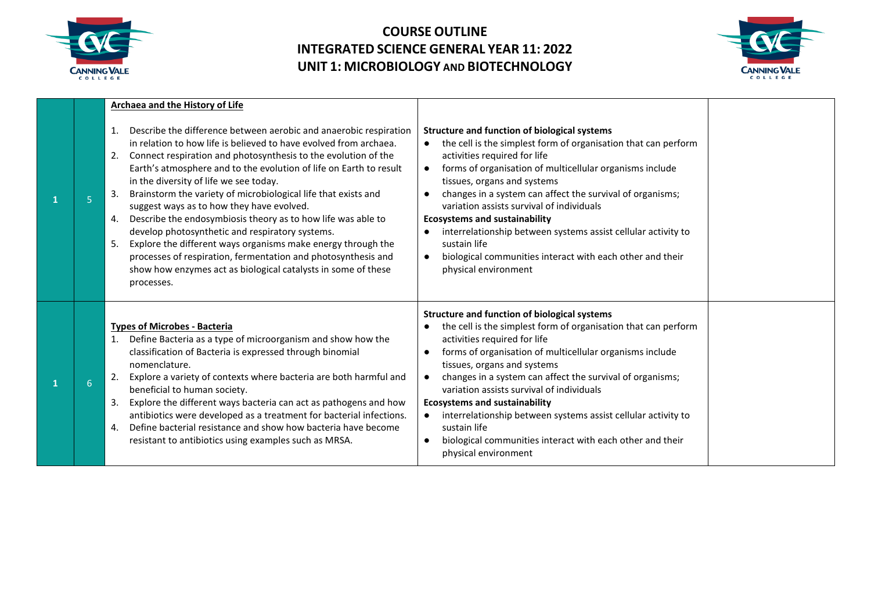



|   |   | <b>Archaea and the History of Life</b>                                                                                                                                                                                                                                                                                                                                                                                                                                                                                                                                                                                                                                                                                                                                                                   |                                                                                                                                                                                                                                                                                                                                                                                                                                                                                                                                                                                                                 |  |
|---|---|----------------------------------------------------------------------------------------------------------------------------------------------------------------------------------------------------------------------------------------------------------------------------------------------------------------------------------------------------------------------------------------------------------------------------------------------------------------------------------------------------------------------------------------------------------------------------------------------------------------------------------------------------------------------------------------------------------------------------------------------------------------------------------------------------------|-----------------------------------------------------------------------------------------------------------------------------------------------------------------------------------------------------------------------------------------------------------------------------------------------------------------------------------------------------------------------------------------------------------------------------------------------------------------------------------------------------------------------------------------------------------------------------------------------------------------|--|
| 1 | 5 | Describe the difference between aerobic and anaerobic respiration<br>1.<br>in relation to how life is believed to have evolved from archaea.<br>Connect respiration and photosynthesis to the evolution of the<br>2.<br>Earth's atmosphere and to the evolution of life on Earth to result<br>in the diversity of life we see today.<br>Brainstorm the variety of microbiological life that exists and<br>3.<br>suggest ways as to how they have evolved.<br>Describe the endosymbiosis theory as to how life was able to<br>4.<br>develop photosynthetic and respiratory systems.<br>Explore the different ways organisms make energy through the<br>5.<br>processes of respiration, fermentation and photosynthesis and<br>show how enzymes act as biological catalysts in some of these<br>processes. | <b>Structure and function of biological systems</b><br>the cell is the simplest form of organisation that can perform<br>$\bullet$<br>activities required for life<br>forms of organisation of multicellular organisms include<br>$\bullet$<br>tissues, organs and systems<br>changes in a system can affect the survival of organisms;<br>variation assists survival of individuals<br><b>Ecosystems and sustainability</b><br>interrelationship between systems assist cellular activity to<br>sustain life<br>biological communities interact with each other and their<br>$\bullet$<br>physical environment |  |
| 1 | 6 | <b>Types of Microbes - Bacteria</b><br>Define Bacteria as a type of microorganism and show how the<br>1.<br>classification of Bacteria is expressed through binomial<br>nomenclature.<br>Explore a variety of contexts where bacteria are both harmful and<br>2.<br>beneficial to human society.<br>Explore the different ways bacteria can act as pathogens and how<br>3.<br>antibiotics were developed as a treatment for bacterial infections.<br>Define bacterial resistance and show how bacteria have become<br>4.<br>resistant to antibiotics using examples such as MRSA.                                                                                                                                                                                                                        | <b>Structure and function of biological systems</b><br>the cell is the simplest form of organisation that can perform<br>activities required for life<br>forms of organisation of multicellular organisms include<br>tissues, organs and systems<br>changes in a system can affect the survival of organisms;<br>variation assists survival of individuals<br><b>Ecosystems and sustainability</b><br>interrelationship between systems assist cellular activity to<br>sustain life<br>biological communities interact with each other and their<br>physical environment                                        |  |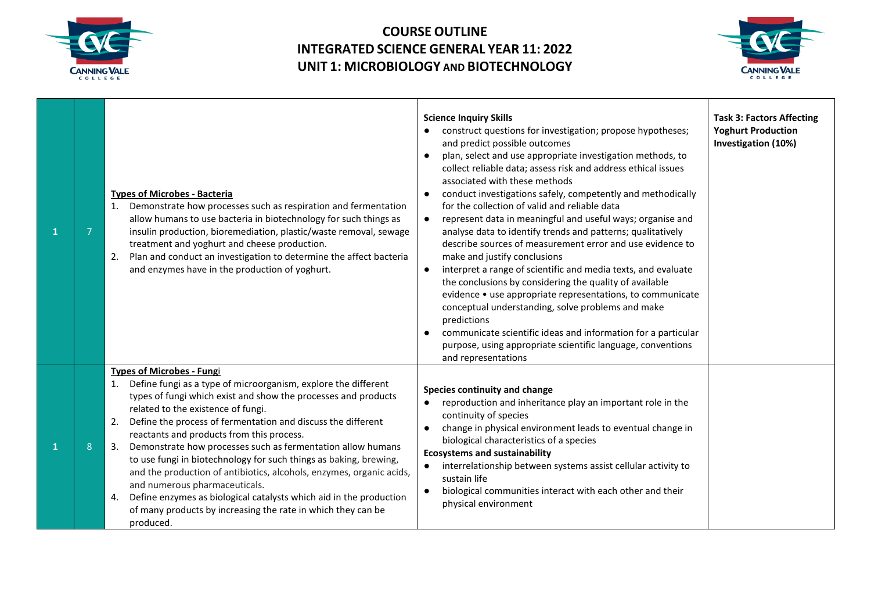



| $\overline{7}$ | <b>Types of Microbes - Bacteria</b><br>1. Demonstrate how processes such as respiration and fermentation<br>allow humans to use bacteria in biotechnology for such things as<br>insulin production, bioremediation, plastic/waste removal, sewage<br>treatment and yoghurt and cheese production.<br>Plan and conduct an investigation to determine the affect bacteria<br>2.<br>and enzymes have in the production of yoghurt.                                                                                                                                                                                                                                                                                                     | <b>Science Inquiry Skills</b><br>construct questions for investigation; propose hypotheses;<br>and predict possible outcomes<br>plan, select and use appropriate investigation methods, to<br>collect reliable data; assess risk and address ethical issues<br>associated with these methods<br>conduct investigations safely, competently and methodically<br>for the collection of valid and reliable data<br>represent data in meaningful and useful ways; organise and<br>$\bullet$<br>analyse data to identify trends and patterns; qualitatively<br>describe sources of measurement error and use evidence to<br>make and justify conclusions<br>interpret a range of scientific and media texts, and evaluate<br>the conclusions by considering the quality of available<br>evidence • use appropriate representations, to communicate<br>conceptual understanding, solve problems and make<br>predictions<br>communicate scientific ideas and information for a particular<br>purpose, using appropriate scientific language, conventions<br>and representations | <b>Task 3: Factors Affecting</b><br><b>Yoghurt Production</b><br>Investigation (10%) |
|----------------|-------------------------------------------------------------------------------------------------------------------------------------------------------------------------------------------------------------------------------------------------------------------------------------------------------------------------------------------------------------------------------------------------------------------------------------------------------------------------------------------------------------------------------------------------------------------------------------------------------------------------------------------------------------------------------------------------------------------------------------|--------------------------------------------------------------------------------------------------------------------------------------------------------------------------------------------------------------------------------------------------------------------------------------------------------------------------------------------------------------------------------------------------------------------------------------------------------------------------------------------------------------------------------------------------------------------------------------------------------------------------------------------------------------------------------------------------------------------------------------------------------------------------------------------------------------------------------------------------------------------------------------------------------------------------------------------------------------------------------------------------------------------------------------------------------------------------|--------------------------------------------------------------------------------------|
| 8              | <b>Types of Microbes - Fungi</b><br>Define fungi as a type of microorganism, explore the different<br>1.<br>types of fungi which exist and show the processes and products<br>related to the existence of fungi.<br>Define the process of fermentation and discuss the different<br>reactants and products from this process.<br>Demonstrate how processes such as fermentation allow humans<br>to use fungi in biotechnology for such things as baking, brewing,<br>and the production of antibiotics, alcohols, enzymes, organic acids,<br>and numerous pharmaceuticals.<br>Define enzymes as biological catalysts which aid in the production<br>4.<br>of many products by increasing the rate in which they can be<br>produced. | Species continuity and change<br>reproduction and inheritance play an important role in the<br>$\bullet$<br>continuity of species<br>change in physical environment leads to eventual change in<br>biological characteristics of a species<br><b>Ecosystems and sustainability</b><br>interrelationship between systems assist cellular activity to<br>$\bullet$<br>sustain life<br>biological communities interact with each other and their<br>physical environment                                                                                                                                                                                                                                                                                                                                                                                                                                                                                                                                                                                                    |                                                                                      |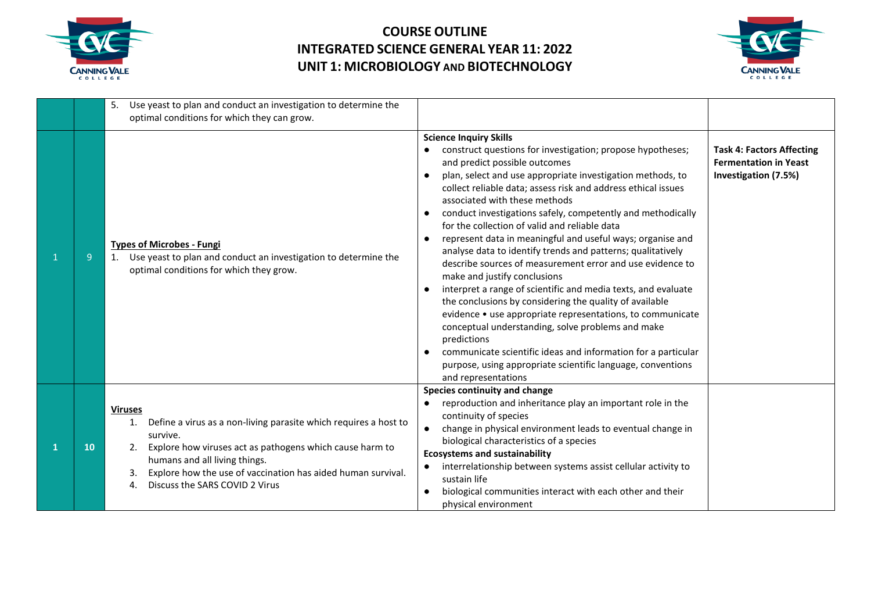



|    | Use yeast to plan and conduct an investigation to determine the<br>5.<br>optimal conditions for which they can grow.                                                                                                                                                                                      |                                                                                                                                                                                                                                                                                                                                                                                                                                                                                                                                                                                                                                                                                                                                                                                                                                                                                                                                                                                                                                                                                       |                                                                                          |
|----|-----------------------------------------------------------------------------------------------------------------------------------------------------------------------------------------------------------------------------------------------------------------------------------------------------------|---------------------------------------------------------------------------------------------------------------------------------------------------------------------------------------------------------------------------------------------------------------------------------------------------------------------------------------------------------------------------------------------------------------------------------------------------------------------------------------------------------------------------------------------------------------------------------------------------------------------------------------------------------------------------------------------------------------------------------------------------------------------------------------------------------------------------------------------------------------------------------------------------------------------------------------------------------------------------------------------------------------------------------------------------------------------------------------|------------------------------------------------------------------------------------------|
| 9  | <b>Types of Microbes - Fungi</b><br>Use yeast to plan and conduct an investigation to determine the<br>optimal conditions for which they grow.                                                                                                                                                            | <b>Science Inquiry Skills</b><br>construct questions for investigation; propose hypotheses;<br>and predict possible outcomes<br>plan, select and use appropriate investigation methods, to<br>collect reliable data; assess risk and address ethical issues<br>associated with these methods<br>conduct investigations safely, competently and methodically<br>for the collection of valid and reliable data<br>represent data in meaningful and useful ways; organise and<br>$\bullet$<br>analyse data to identify trends and patterns; qualitatively<br>describe sources of measurement error and use evidence to<br>make and justify conclusions<br>interpret a range of scientific and media texts, and evaluate<br>$\bullet$<br>the conclusions by considering the quality of available<br>evidence • use appropriate representations, to communicate<br>conceptual understanding, solve problems and make<br>predictions<br>communicate scientific ideas and information for a particular<br>purpose, using appropriate scientific language, conventions<br>and representations | <b>Task 4: Factors Affecting</b><br><b>Fermentation in Yeast</b><br>Investigation (7.5%) |
| 10 | <b>Viruses</b><br>Define a virus as a non-living parasite which requires a host to<br>survive.<br>Explore how viruses act as pathogens which cause harm to<br>2.<br>humans and all living things.<br>Explore how the use of vaccination has aided human survival.<br>Discuss the SARS COVID 2 Virus<br>4. | Species continuity and change<br>reproduction and inheritance play an important role in the<br>$\bullet$<br>continuity of species<br>change in physical environment leads to eventual change in<br>$\bullet$<br>biological characteristics of a species<br><b>Ecosystems and sustainability</b><br>interrelationship between systems assist cellular activity to<br>$\bullet$<br>sustain life<br>biological communities interact with each other and their<br>physical environment                                                                                                                                                                                                                                                                                                                                                                                                                                                                                                                                                                                                    |                                                                                          |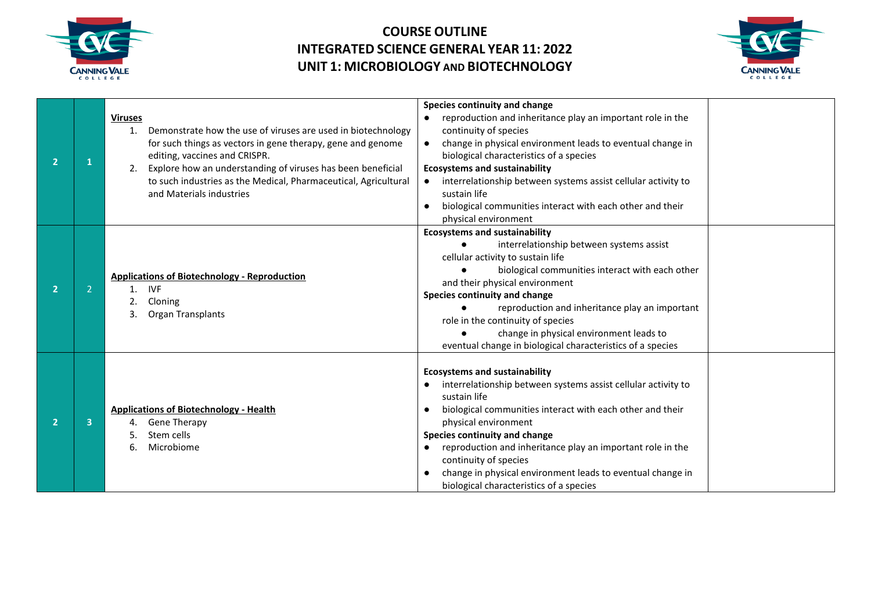



| $\overline{\mathbf{2}}$ |   | <b>Viruses</b><br>Demonstrate how the use of viruses are used in biotechnology<br>for such things as vectors in gene therapy, gene and genome<br>editing, vaccines and CRISPR.<br>Explore how an understanding of viruses has been beneficial<br>to such industries as the Medical, Pharmaceutical, Agricultural<br>and Materials industries | Species continuity and change<br>reproduction and inheritance play an important role in the<br>continuity of species<br>change in physical environment leads to eventual change in<br>$\bullet$<br>biological characteristics of a species<br><b>Ecosystems and sustainability</b><br>interrelationship between systems assist cellular activity to<br>sustain life<br>biological communities interact with each other and their<br>$\bullet$<br>physical environment |
|-------------------------|---|----------------------------------------------------------------------------------------------------------------------------------------------------------------------------------------------------------------------------------------------------------------------------------------------------------------------------------------------|-----------------------------------------------------------------------------------------------------------------------------------------------------------------------------------------------------------------------------------------------------------------------------------------------------------------------------------------------------------------------------------------------------------------------------------------------------------------------|
| $\overline{2}$          |   | <b>Applications of Biotechnology - Reproduction</b><br><b>IVF</b><br>Cloning<br>Organ Transplants                                                                                                                                                                                                                                            | <b>Ecosystems and sustainability</b><br>interrelationship between systems assist<br>cellular activity to sustain life<br>biological communities interact with each other<br>and their physical environment<br>Species continuity and change<br>reproduction and inheritance play an important<br>role in the continuity of species<br>change in physical environment leads to<br>eventual change in biological characteristics of a species                           |
| 2                       | 3 | <b>Applications of Biotechnology - Health</b><br><b>Gene Therapy</b><br>Stem cells<br>Microbiome                                                                                                                                                                                                                                             | <b>Ecosystems and sustainability</b><br>interrelationship between systems assist cellular activity to<br>sustain life<br>biological communities interact with each other and their<br>$\bullet$<br>physical environment<br>Species continuity and change<br>reproduction and inheritance play an important role in the<br>continuity of species<br>change in physical environment leads to eventual change in<br>$\bullet$<br>biological characteristics of a species |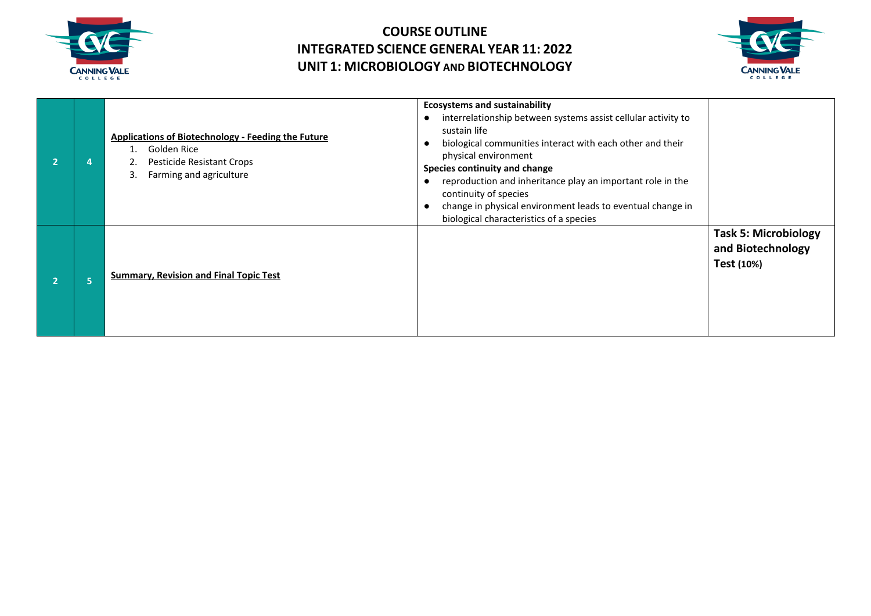



|  | <b>Applications of Biotechnology - Feeding the Future</b><br>Golden Rice<br>Pesticide Resistant Crops<br>Farming and agriculture | <b>Ecosystems and sustainability</b><br>interrelationship between systems assist cellular activity to<br>sustain life<br>biological communities interact with each other and their<br>physical environment<br>Species continuity and change<br>reproduction and inheritance play an important role in the<br>continuity of species<br>change in physical environment leads to eventual change in<br>biological characteristics of a species |                                                                |
|--|----------------------------------------------------------------------------------------------------------------------------------|---------------------------------------------------------------------------------------------------------------------------------------------------------------------------------------------------------------------------------------------------------------------------------------------------------------------------------------------------------------------------------------------------------------------------------------------|----------------------------------------------------------------|
|  | <b>Summary, Revision and Final Topic Test</b>                                                                                    |                                                                                                                                                                                                                                                                                                                                                                                                                                             | <b>Task 5: Microbiology</b><br>and Biotechnology<br>Test (10%) |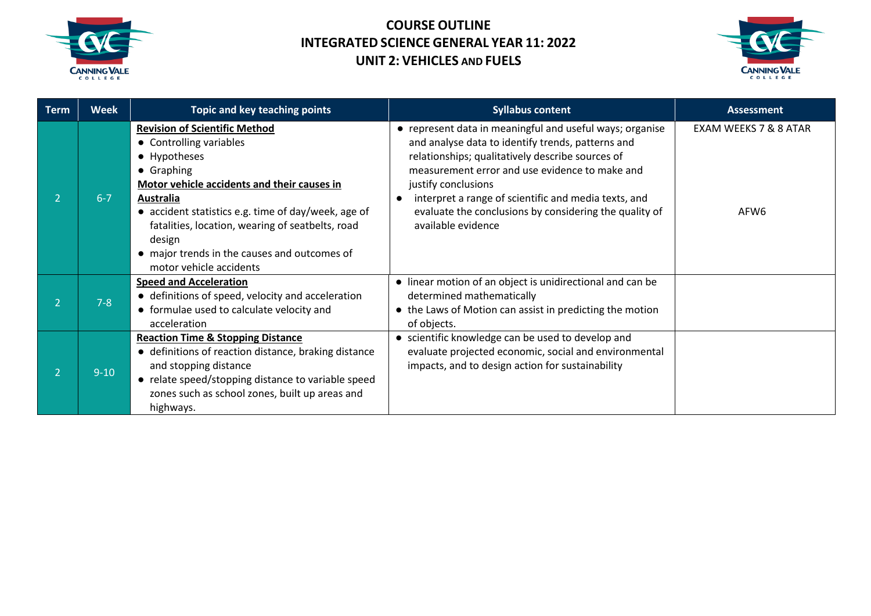



| <b>Term</b> | <b>Week</b> | Topic and key teaching points                                                                                                                                                                                                                                                                                                                                    | <b>Syllabus content</b>                                                                                                                                                                                                                                                                                                                                                            | <b>Assessment</b>                         |
|-------------|-------------|------------------------------------------------------------------------------------------------------------------------------------------------------------------------------------------------------------------------------------------------------------------------------------------------------------------------------------------------------------------|------------------------------------------------------------------------------------------------------------------------------------------------------------------------------------------------------------------------------------------------------------------------------------------------------------------------------------------------------------------------------------|-------------------------------------------|
|             | $6 - 7$     | <b>Revision of Scientific Method</b><br>• Controlling variables<br>• Hypotheses<br>• Graphing<br>Motor vehicle accidents and their causes in<br><b>Australia</b><br>• accident statistics e.g. time of day/week, age of<br>fatalities, location, wearing of seatbelts, road<br>design<br>• major trends in the causes and outcomes of<br>motor vehicle accidents | • represent data in meaningful and useful ways; organise<br>and analyse data to identify trends, patterns and<br>relationships; qualitatively describe sources of<br>measurement error and use evidence to make and<br>justify conclusions<br>interpret a range of scientific and media texts, and<br>evaluate the conclusions by considering the quality of<br>available evidence | EXAM WEEKS 7 & 8 ATAR<br>AFW <sub>6</sub> |
|             | $7-8$       | <b>Speed and Acceleration</b><br>• definitions of speed, velocity and acceleration<br>• formulae used to calculate velocity and<br>acceleration                                                                                                                                                                                                                  | • linear motion of an object is unidirectional and can be<br>determined mathematically<br>• the Laws of Motion can assist in predicting the motion<br>of objects.                                                                                                                                                                                                                  |                                           |
|             | $9 - 10$    | <b>Reaction Time &amp; Stopping Distance</b><br>• definitions of reaction distance, braking distance<br>and stopping distance<br>• relate speed/stopping distance to variable speed<br>zones such as school zones, built up areas and<br>highways.                                                                                                               | • scientific knowledge can be used to develop and<br>evaluate projected economic, social and environmental<br>impacts, and to design action for sustainability                                                                                                                                                                                                                     |                                           |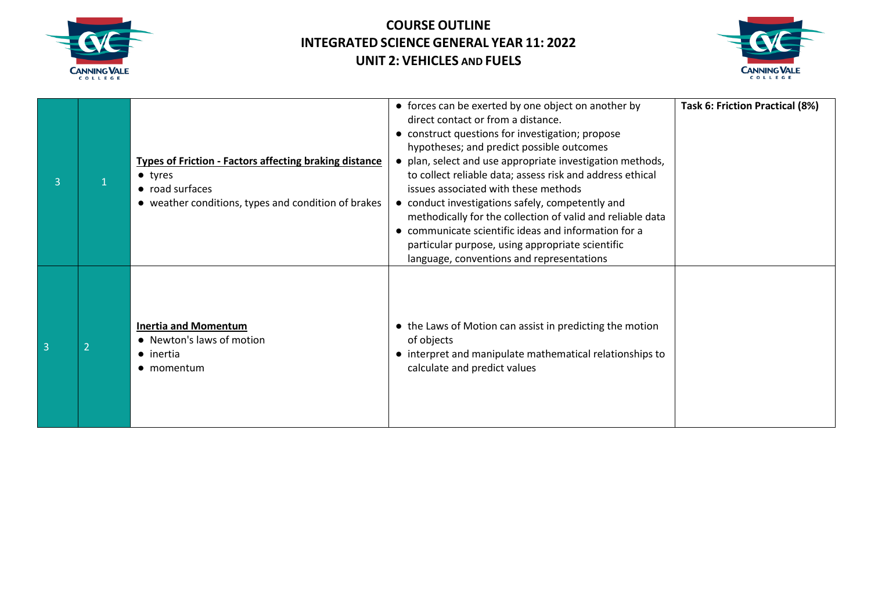



| 3              | <b>Types of Friction - Factors affecting braking distance</b><br>$\bullet$ tyres<br>• road surfaces<br>• weather conditions, types and condition of brakes | • forces can be exerted by one object on another by<br>direct contact or from a distance.<br>• construct questions for investigation; propose<br>hypotheses; and predict possible outcomes<br>plan, select and use appropriate investigation methods,<br>to collect reliable data; assess risk and address ethical<br>issues associated with these methods<br>• conduct investigations safely, competently and<br>methodically for the collection of valid and reliable data<br>communicate scientific ideas and information for a<br>particular purpose, using appropriate scientific<br>language, conventions and representations | Task 6: Friction Practical (8%) |
|----------------|------------------------------------------------------------------------------------------------------------------------------------------------------------|-------------------------------------------------------------------------------------------------------------------------------------------------------------------------------------------------------------------------------------------------------------------------------------------------------------------------------------------------------------------------------------------------------------------------------------------------------------------------------------------------------------------------------------------------------------------------------------------------------------------------------------|---------------------------------|
| $\overline{3}$ | <b>Inertia and Momentum</b><br>• Newton's laws of motion<br>$\bullet$ inertia<br>• momentum                                                                | • the Laws of Motion can assist in predicting the motion<br>of objects<br>• interpret and manipulate mathematical relationships to<br>calculate and predict values                                                                                                                                                                                                                                                                                                                                                                                                                                                                  |                                 |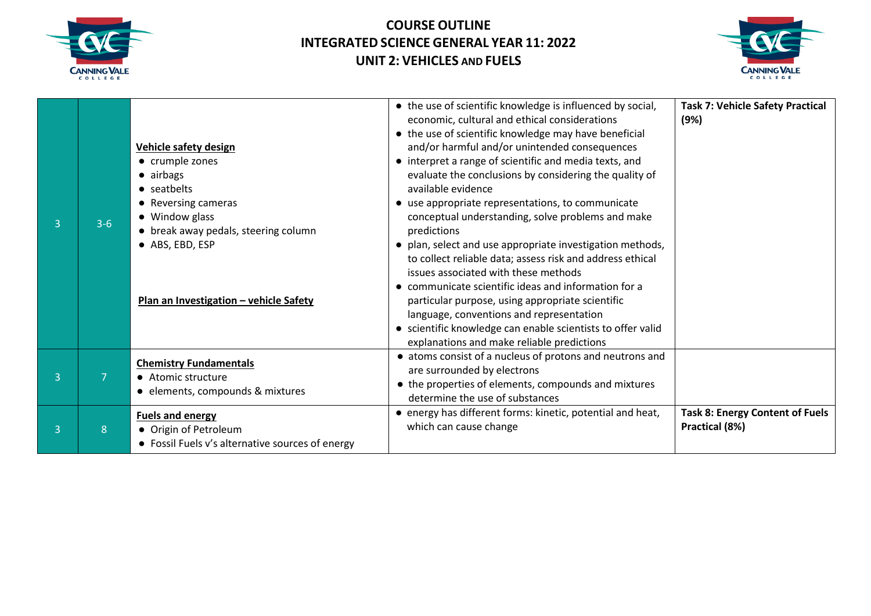



| $\overline{3}$ | $3-6$ | <b>Vehicle safety design</b><br>• crumple zones<br>• airbags<br>• seatbelts<br>• Reversing cameras<br>• Window glass<br>• break away pedals, steering column<br>• ABS, EBD, ESP<br>Plan an Investigation - vehicle Safety | • the use of scientific knowledge is influenced by social,<br>economic, cultural and ethical considerations<br>• the use of scientific knowledge may have beneficial<br>and/or harmful and/or unintended consequences<br>• interpret a range of scientific and media texts, and<br>evaluate the conclusions by considering the quality of<br>available evidence<br>• use appropriate representations, to communicate<br>conceptual understanding, solve problems and make<br>predictions<br>• plan, select and use appropriate investigation methods,<br>to collect reliable data; assess risk and address ethical<br>issues associated with these methods<br>• communicate scientific ideas and information for a<br>particular purpose, using appropriate scientific<br>language, conventions and representation<br>• scientific knowledge can enable scientists to offer valid<br>explanations and make reliable predictions | <b>Task 7: Vehicle Safety Practical</b><br>(9%)          |
|----------------|-------|---------------------------------------------------------------------------------------------------------------------------------------------------------------------------------------------------------------------------|---------------------------------------------------------------------------------------------------------------------------------------------------------------------------------------------------------------------------------------------------------------------------------------------------------------------------------------------------------------------------------------------------------------------------------------------------------------------------------------------------------------------------------------------------------------------------------------------------------------------------------------------------------------------------------------------------------------------------------------------------------------------------------------------------------------------------------------------------------------------------------------------------------------------------------|----------------------------------------------------------|
| $\overline{3}$ | 7     | <b>Chemistry Fundamentals</b><br>• Atomic structure<br>• elements, compounds & mixtures                                                                                                                                   | • atoms consist of a nucleus of protons and neutrons and<br>are surrounded by electrons<br>• the properties of elements, compounds and mixtures<br>determine the use of substances                                                                                                                                                                                                                                                                                                                                                                                                                                                                                                                                                                                                                                                                                                                                              |                                                          |
| 3              | 8     | <b>Fuels and energy</b><br>• Origin of Petroleum<br>• Fossil Fuels v's alternative sources of energy                                                                                                                      | • energy has different forms: kinetic, potential and heat,<br>which can cause change                                                                                                                                                                                                                                                                                                                                                                                                                                                                                                                                                                                                                                                                                                                                                                                                                                            | <b>Task 8: Energy Content of Fuels</b><br>Practical (8%) |